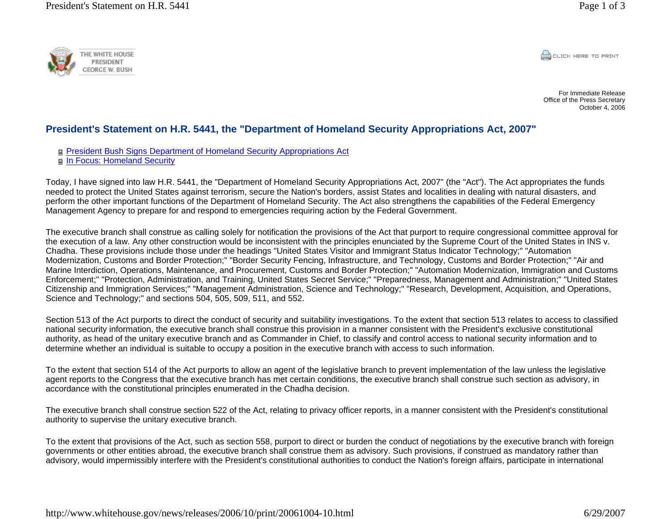

**CONCRETE PRINT** 

For Immediate ReleaseOffice of the Press Secretary October 4, 2006

## **President's Statement on H.R. 5441, the "Department of Homeland Security Appropriations Act, 2007"**

President Bush Signs Department of Homeland Security Appropriations Act

**n** In Focus: Homeland Security

Today, I have signed into law H.R. 5441, the "Department of Homeland Security Appropriations Act, 2007" (the "Act"). The Act appropriates the funds needed to protect the United States against terrorism, secure the Nation's borders, assist States and localities in dealing with natural disasters, and perform the other important functions of the Department of Homeland Security. The Act also strengthens the capabilities of the Federal Emergency Management Agency to prepare for and respond to emergencies requiring action by the Federal Government.

The executive branch shall construe as calling solely for notification the provisions of the Act that purport to require congressional committee approval for the execution of a law. Any other construction would be inconsistent with the principles enunciated by the Supreme Court of the United States in INS v. Chadha. These provisions include those under the headings "United States Visitor and Immigrant Status Indicator Technology;" "Automation Modernization, Customs and Border Protection;" "Border Security Fencing, Infrastructure, and Technology, Customs and Border Protection;" "Air and Marine Interdiction, Operations, Maintenance, and Procurement, Customs and Border Protection;" "Automation Modernization, Immigration and Customs Enforcement;" "Protection, Administration, and Training, United States Secret Service;" "Preparedness, Management and Administration;" "United States Citizenship and Immigration Services;" "Management Administration, Science and Technology;" "Research, Development, Acquisition, and Operations, Science and Technology;" and sections 504, 505, 509, 511, and 552.

Section 513 of the Act purports to direct the conduct of security and suitability investigations. To the extent that section 513 relates to access to classified national security information, the executive branch shall construe this provision in a manner consistent with the President's exclusive constitutional authority, as head of the unitary executive branch and as Commander in Chief, to classify and control access to national security information and to determine whether an individual is suitable to occupy a position in the executive branch with access to such information.

To the extent that section 514 of the Act purports to allow an agent of the legislative branch to prevent implementation of the law unless the legislative agent reports to the Congress that the executive branch has met certain conditions, the executive branch shall construe such section as advisory, in accordance with the constitutional principles enumerated in the Chadha decision.

The executive branch shall construe section 522 of the Act, relating to privacy officer reports, in a manner consistent with the President's constitutional authority to supervise the unitary executive branch.

To the extent that provisions of the Act, such as section 558, purport to direct or burden the conduct of negotiations by the executive branch with foreign governments or other entities abroad, the executive branch shall construe them as advisory. Such provisions, if construed as mandatory rather than advisory, would impermissibly interfere with the President's constitutional authorities to conduct the Nation's foreign affairs, participate in international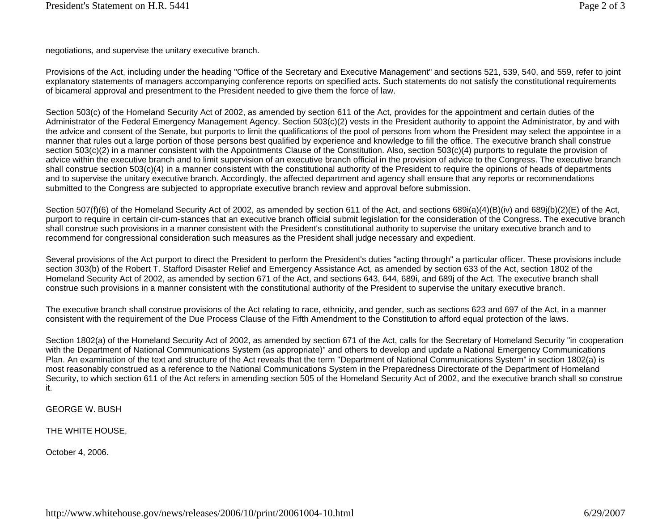negotiations, and supervise the unitary executive branch.

Provisions of the Act, including under the heading "Office of the Secretary and Executive Management" and sections 521, 539, 540, and 559, refer to joint explanatory statements of managers accompanying conference reports on specified acts. Such statements do not satisfy the constitutional requirements of bicameral approval and presentment to the President needed to give them the force of law.

Section 503(c) of the Homeland Security Act of 2002, as amended by section 611 of the Act, provides for the appointment and certain duties of the Administrator of the Federal Emergency Management Agency. Section 503(c)(2) vests in the President authority to appoint the Administrator, by and with the advice and consent of the Senate, but purports to limit the qualifications of the pool of persons from whom the President may select the appointee in a manner that rules out a large portion of those persons best qualified by experience and knowledge to fill the office. The executive branch shall construe section 503(c)(2) in a manner consistent with the Appointments Clause of the Constitution. Also, section 503(c)(4) purports to regulate the provision of advice within the executive branch and to limit supervision of an executive branch official in the provision of advice to the Congress. The executive branch shall construe section 503(c)(4) in a manner consistent with the constitutional authority of the President to require the opinions of heads of departments and to supervise the unitary executive branch. Accordingly, the affected department and agency shall ensure that any reports or recommendations submitted to the Congress are subjected to appropriate executive branch review and approval before submission.

Section 507(f)(6) of the Homeland Security Act of 2002, as amended by section 611 of the Act, and sections 689i(a)(4)(B)(iv) and 689j(b)(2)(E) of the Act, purport to require in certain cir-cum-stances that an executive branch official submit legislation for the consideration of the Congress. The executive branch shall construe such provisions in a manner consistent with the President's constitutional authority to supervise the unitary executive branch and to recommend for congressional consideration such measures as the President shall judge necessary and expedient.

Several provisions of the Act purport to direct the President to perform the President's duties "acting through" a particular officer. These provisions include section 303(b) of the Robert T. Stafford Disaster Relief and Emergency Assistance Act, as amended by section 633 of the Act, section 1802 of the Homeland Security Act of 2002, as amended by section 671 of the Act, and sections 643, 644, 689i, and 689j of the Act. The executive branch shall construe such provisions in a manner consistent with the constitutional authority of the President to supervise the unitary executive branch.

The executive branch shall construe provisions of the Act relating to race, ethnicity, and gender, such as sections 623 and 697 of the Act, in a manner consistent with the requirement of the Due Process Clause of the Fifth Amendment to the Constitution to afford equal protection of the laws.

Section 1802(a) of the Homeland Security Act of 2002, as amended by section 671 of the Act, calls for the Secretary of Homeland Security "in cooperation with the Department of National Communications System (as appropriate)" and others to develop and update a National Emergency Communications Plan. An examination of the text and structure of the Act reveals that the term "Department of National Communications System" in section 1802(a) is most reasonably construed as a reference to the National Communications System in the Preparedness Directorate of the Department of Homeland Security, to which section 611 of the Act refers in amending section 505 of the Homeland Security Act of 2002, and the executive branch shall so construe it.

GEORGE W. BUSH

THE WHITE HOUSE,

October 4, 2006.